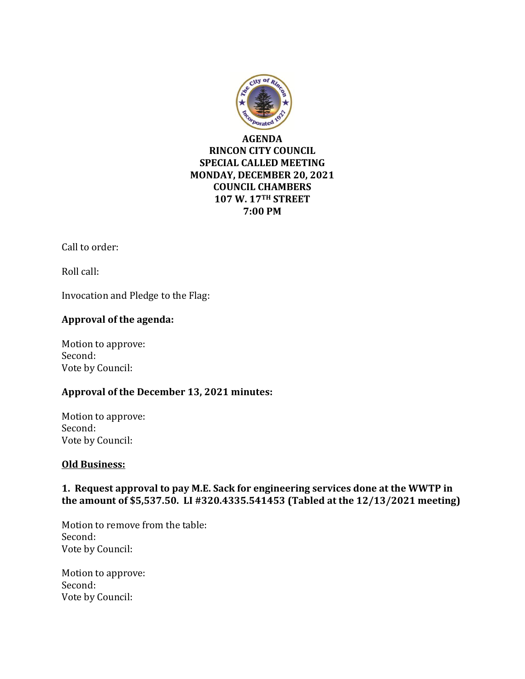

### **AGENDA RINCON CITY COUNCIL SPECIAL CALLED MEETING MONDAY, DECEMBER 20, 2021 COUNCIL CHAMBERS 107 W. 17TH STREET 7:00 PM**

Call to order:

Roll call:

Invocation and Pledge to the Flag:

# **Approval of the agenda:**

Motion to approve: Second: Vote by Council:

### **Approval of the December 13, 2021 minutes:**

Motion to approve: Second: Vote by Council:

### **Old Business:**

# **1. Request approval to pay M.E. Sack for engineering services done at the WWTP in the amount of \$5,537.50. LI #320.4335.541453 (Tabled at the 12/13/2021 meeting)**

Motion to remove from the table: Second: Vote by Council:

Motion to approve: Second: Vote by Council: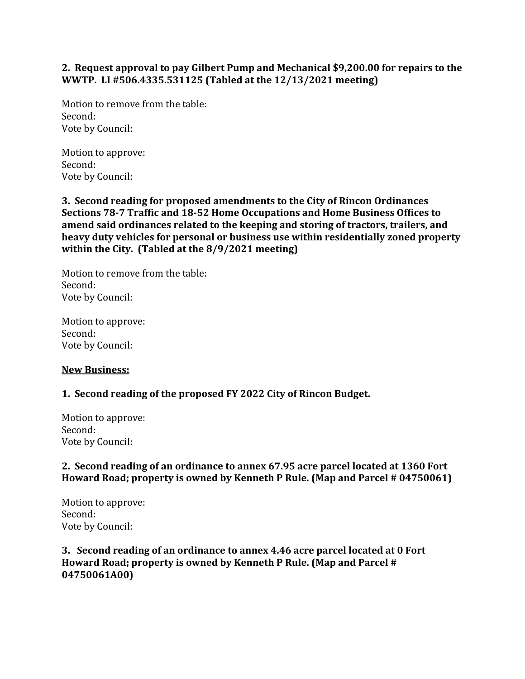### **2. Request approval to pay Gilbert Pump and Mechanical \$9,200.00 for repairs to the WWTP. LI #506.4335.531125 (Tabled at the 12/13/2021 meeting)**

Motion to remove from the table: Second: Vote by Council:

Motion to approve: Second: Vote by Council:

**3. Second reading for proposed amendments to the City of Rincon Ordinances Sections 78-7 Traffic and 18-52 Home Occupations and Home Business Offices to amend said ordinances related to the keeping and storing of tractors, trailers, and heavy duty vehicles for personal or business use within residentially zoned property within the City. (Tabled at the 8/9/2021 meeting)**

Motion to remove from the table: Second: Vote by Council:

Motion to approve: Second: Vote by Council:

### **New Business:**

### **1. Second reading of the proposed FY 2022 City of Rincon Budget.**

Motion to approve: Second: Vote by Council:

### **2. Second reading of an ordinance to annex 67.95 acre parcel located at 1360 Fort Howard Road; property is owned by Kenneth P Rule. (Map and Parcel # 04750061)**

Motion to approve: Second: Vote by Council:

**3. Second reading of an ordinance to annex 4.46 acre parcel located at 0 Fort Howard Road; property is owned by Kenneth P Rule. (Map and Parcel # 04750061A00)**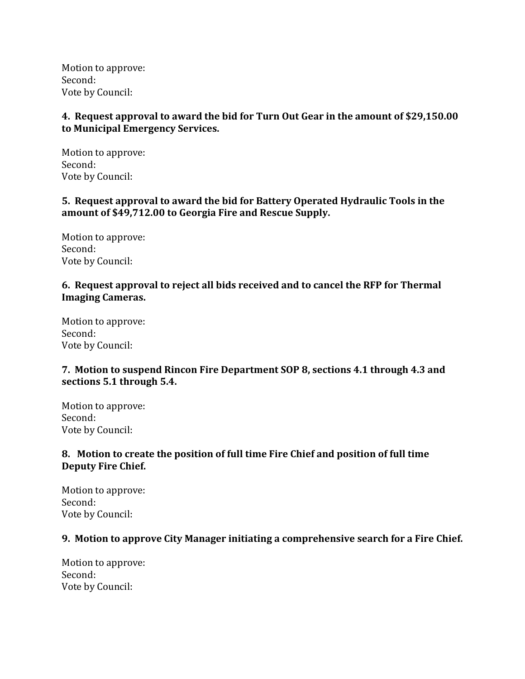Motion to approve: Second: Vote by Council:

### **4. Request approval to award the bid for Turn Out Gear in the amount of \$29,150.00 to Municipal Emergency Services.**

Motion to approve: Second: Vote by Council:

### **5. Request approval to award the bid for Battery Operated Hydraulic Tools in the amount of \$49,712.00 to Georgia Fire and Rescue Supply.**

Motion to approve: Second: Vote by Council:

# **6. Request approval to reject all bids received and to cancel the RFP for Thermal Imaging Cameras.**

Motion to approve: Second: Vote by Council:

# **7. Motion to suspend Rincon Fire Department SOP 8, sections 4.1 through 4.3 and sections 5.1 through 5.4.**

Motion to approve: Second: Vote by Council:

# **8. Motion to create the position of full time Fire Chief and position of full time Deputy Fire Chief.**

Motion to approve: Second: Vote by Council:

### **9. Motion to approve City Manager initiating a comprehensive search for a Fire Chief.**

Motion to approve: Second: Vote by Council: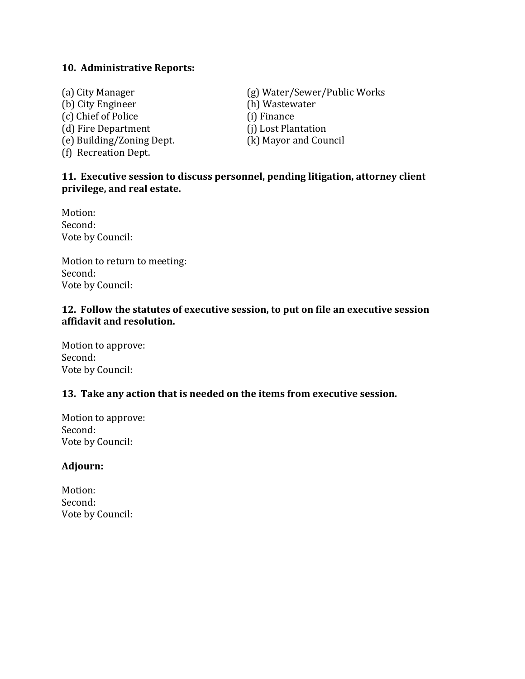#### **10. Administrative Reports:**

(b) City Engineer (h) Wastewater (c) Chief of Police (i) Finance (d) Fire Department (j) Lost Plantation (e) Building/Zoning Dept. (k) Mayor and Council (f) Recreation Dept.

(a) City Manager (g) Water/Sewer/Public Works

### **11. Executive session to discuss personnel, pending litigation, attorney client privilege, and real estate.**

Motion: Second: Vote by Council:

Motion to return to meeting: Second: Vote by Council:

#### **12. Follow the statutes of executive session, to put on file an executive session affidavit and resolution.**

Motion to approve: Second: Vote by Council:

### **13. Take any action that is needed on the items from executive session.**

Motion to approve: Second: Vote by Council:

#### **Adjourn:**

Motion: Second: Vote by Council: